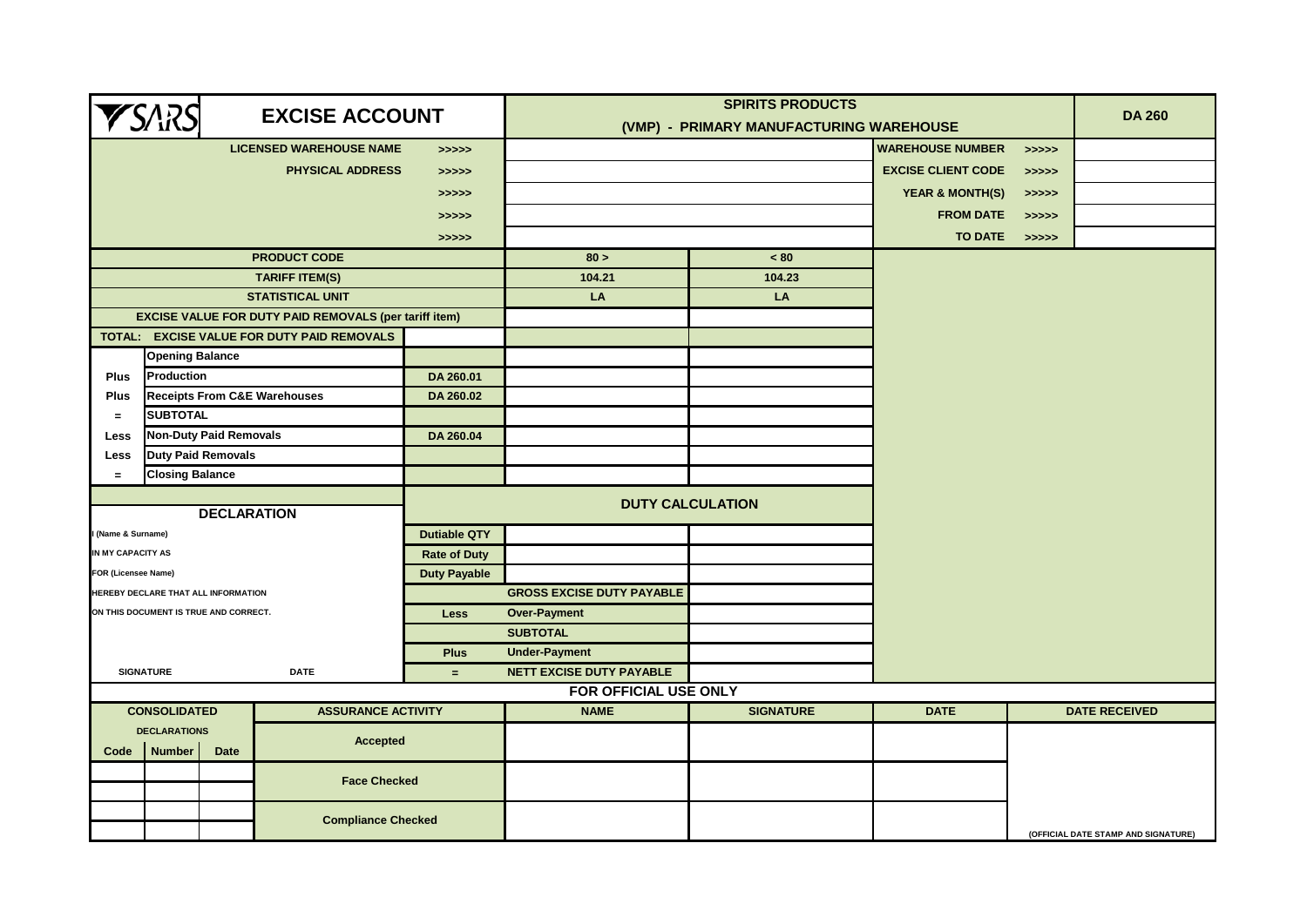|                                                    |                                                                 |                    | <b>EXCISE ACCOUNT</b>                                        | <b>SPIRITS PRODUCTS</b> |                                         |                  |                            |       | <b>DA 260</b>                       |
|----------------------------------------------------|-----------------------------------------------------------------|--------------------|--------------------------------------------------------------|-------------------------|-----------------------------------------|------------------|----------------------------|-------|-------------------------------------|
| <b>YSARS</b>                                       |                                                                 |                    |                                                              |                         | (VMP) - PRIMARY MANUFACTURING WAREHOUSE |                  |                            |       |                                     |
|                                                    |                                                                 |                    | <b>LICENSED WAREHOUSE NAME</b>                               | >>>>>                   |                                         |                  | <b>WAREHOUSE NUMBER</b>    | >>>>> |                                     |
|                                                    |                                                                 |                    | <b>PHYSICAL ADDRESS</b>                                      | > >> > >                |                                         |                  | <b>EXCISE CLIENT CODE</b>  | >>>>> |                                     |
|                                                    |                                                                 |                    |                                                              | >>>>>                   |                                         |                  | <b>YEAR &amp; MONTH(S)</b> | >>>>> |                                     |
|                                                    |                                                                 |                    |                                                              | >>>>>                   |                                         |                  | <b>FROM DATE</b>           | >>>>> |                                     |
|                                                    |                                                                 |                    |                                                              | >>>>>                   |                                         |                  | <b>TO DATE</b>             | >>>>> |                                     |
|                                                    |                                                                 |                    | <b>PRODUCT CODE</b>                                          |                         | 80 >                                    | ~< 80            |                            |       |                                     |
|                                                    |                                                                 |                    | <b>TARIFF ITEM(S)</b>                                        |                         | 104.21                                  | 104.23           |                            |       |                                     |
|                                                    |                                                                 |                    | <b>STATISTICAL UNIT</b>                                      |                         | LA                                      | LA               |                            |       |                                     |
|                                                    |                                                                 |                    | <b>EXCISE VALUE FOR DUTY PAID REMOVALS (per tariff item)</b> |                         |                                         |                  |                            |       |                                     |
|                                                    |                                                                 |                    | TOTAL: EXCISE VALUE FOR DUTY PAID REMOVALS                   |                         |                                         |                  |                            |       |                                     |
|                                                    | <b>Opening Balance</b>                                          |                    |                                                              |                         |                                         |                  |                            |       |                                     |
| Plus                                               | <b>Production</b>                                               |                    |                                                              | DA 260.01               |                                         |                  |                            |       |                                     |
| Plus                                               |                                                                 |                    | <b>Receipts From C&amp;E Warehouses</b>                      | DA 260.02               |                                         |                  |                            |       |                                     |
| $\equiv$                                           | <b>SUBTOTAL</b>                                                 |                    |                                                              |                         |                                         |                  |                            |       |                                     |
| Less                                               | <b>Non-Duty Paid Removals</b>                                   |                    |                                                              | DA 260.04               |                                         |                  |                            |       |                                     |
| Less                                               | <b>Duty Paid Removals</b>                                       |                    |                                                              |                         |                                         |                  |                            |       |                                     |
| <b>Closing Balance</b><br>$=$                      |                                                                 |                    |                                                              |                         |                                         |                  |                            |       |                                     |
|                                                    |                                                                 |                    |                                                              |                         | <b>DUTY CALCULATION</b>                 |                  |                            |       |                                     |
|                                                    |                                                                 | <b>DECLARATION</b> |                                                              |                         |                                         |                  |                            |       |                                     |
| (Name & Surname)                                   |                                                                 |                    |                                                              | <b>Dutiable QTY</b>     |                                         |                  |                            |       |                                     |
| IN MY CAPACITY AS                                  |                                                                 |                    |                                                              | <b>Rate of Duty</b>     |                                         |                  |                            |       |                                     |
| FOR (Licensee Name)                                |                                                                 |                    |                                                              | <b>Duty Payable</b>     |                                         |                  |                            |       |                                     |
|                                                    | HEREBY DECLARE THAT ALL INFORMATION                             |                    |                                                              |                         | <b>GROSS EXCISE DUTY PAYABLE</b>        |                  |                            |       |                                     |
|                                                    | ON THIS DOCUMENT IS TRUE AND CORRECT.                           |                    |                                                              | Less                    | <b>Over-Payment</b>                     |                  |                            |       |                                     |
|                                                    |                                                                 |                    |                                                              |                         | <b>SUBTOTAL</b>                         |                  |                            |       |                                     |
|                                                    |                                                                 |                    |                                                              | <b>Plus</b>             | <b>Under-Payment</b>                    |                  |                            |       |                                     |
|                                                    | <b>SIGNATURE</b>                                                |                    | <b>DATE</b>                                                  | $=$                     | <b>NETT EXCISE DUTY PAYABLE</b>         |                  |                            |       |                                     |
| FOR OFFICIAL USE ONLY<br><b>ASSURANCE ACTIVITY</b> |                                                                 |                    |                                                              |                         |                                         |                  |                            |       | <b>DATE RECEIVED</b>                |
|                                                    | <b>CONSOLIDATED</b>                                             |                    |                                                              |                         | <b>NAME</b>                             | <b>SIGNATURE</b> | <b>DATE</b>                |       |                                     |
| Code                                               | <b>DECLARATIONS</b><br><b>Accepted</b><br><b>Number</b><br>Date |                    |                                                              |                         |                                         |                  |                            |       |                                     |
|                                                    |                                                                 |                    | <b>Face Checked</b>                                          |                         |                                         |                  |                            |       |                                     |
|                                                    |                                                                 |                    | <b>Compliance Checked</b>                                    |                         |                                         |                  |                            |       | (OFFICIAL DATE STAMP AND SIGNATURE) |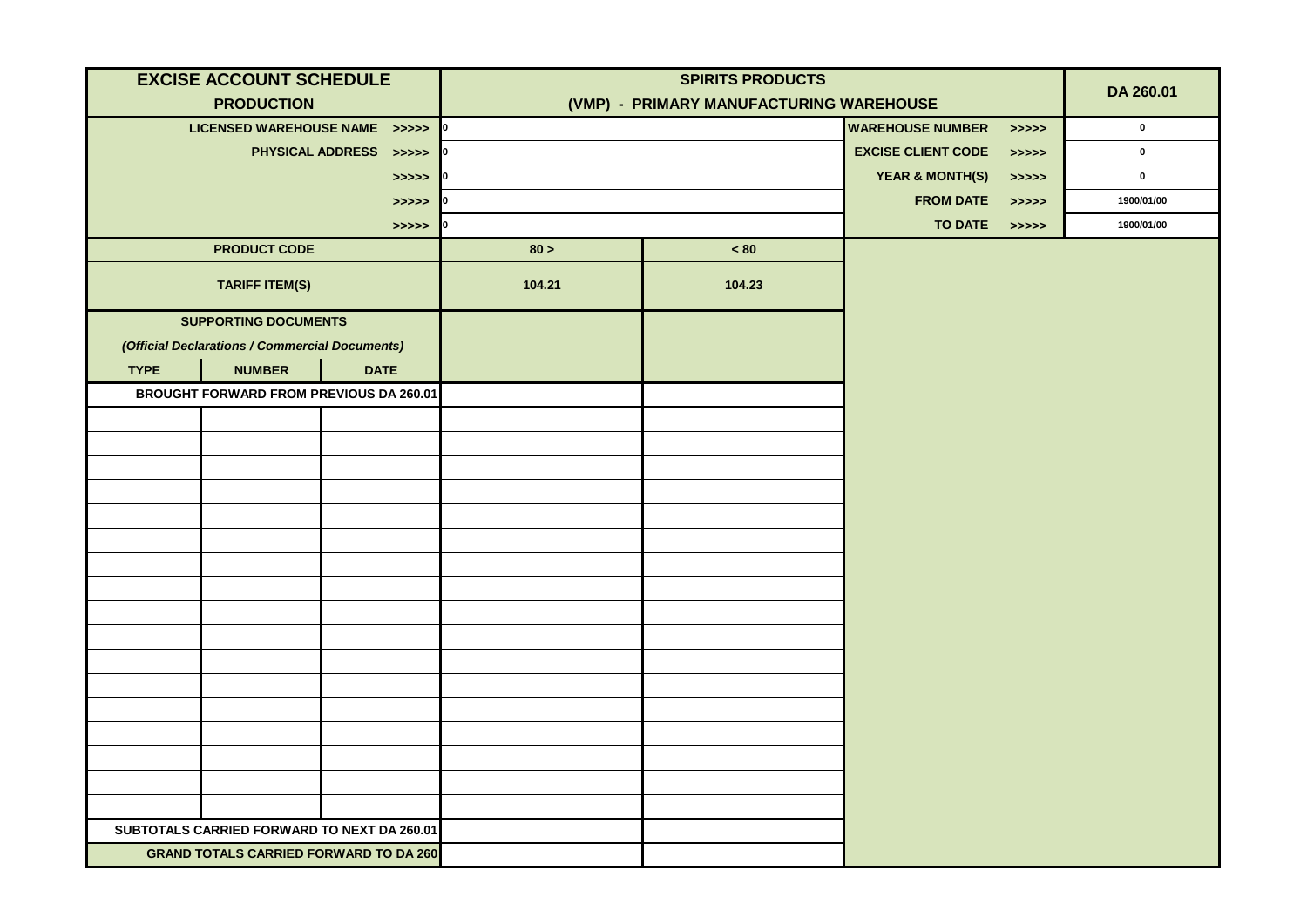| <b>EXCISE ACCOUNT SCHEDULE</b>                 | <b>SPIRITS PRODUCTS</b> |                                         |                           |           | DA 260.01  |
|------------------------------------------------|-------------------------|-----------------------------------------|---------------------------|-----------|------------|
| <b>PRODUCTION</b>                              |                         | (VMP) - PRIMARY MANUFACTURING WAREHOUSE |                           |           |            |
| LICENSED WAREHOUSE NAME >>>>> 0                |                         | <b>WAREHOUSE NUMBER</b>                 | >>>>>                     | $\pmb{0}$ |            |
| PHYSICAL ADDRESS >>>>> 0                       |                         |                                         | <b>EXCISE CLIENT CODE</b> | >>>>>     | $\pmb{0}$  |
| >>>>                                           |                         |                                         |                           | > >> > >  | $\pmb{0}$  |
| >>>>>                                          |                         |                                         | <b>FROM DATE</b>          | >>>>>     | 1900/01/00 |
| >>>>                                           |                         |                                         | TO DATE >>>>>             |           | 1900/01/00 |
| <b>PRODUCT CODE</b>                            | 80 >                    | $< 80$                                  |                           |           |            |
| <b>TARIFF ITEM(S)</b>                          | 104.21                  | 104.23                                  |                           |           |            |
| <b>SUPPORTING DOCUMENTS</b>                    |                         |                                         |                           |           |            |
| (Official Declarations / Commercial Documents) |                         |                                         |                           |           |            |
| <b>NUMBER</b><br><b>TYPE</b><br><b>DATE</b>    |                         |                                         |                           |           |            |
| <b>BROUGHT FORWARD FROM PREVIOUS DA 260.01</b> |                         |                                         |                           |           |            |
|                                                |                         |                                         |                           |           |            |
|                                                |                         |                                         |                           |           |            |
|                                                |                         |                                         |                           |           |            |
|                                                |                         |                                         |                           |           |            |
|                                                |                         |                                         |                           |           |            |
|                                                |                         |                                         |                           |           |            |
|                                                |                         |                                         |                           |           |            |
|                                                |                         |                                         |                           |           |            |
|                                                |                         |                                         |                           |           |            |
|                                                |                         |                                         |                           |           |            |
|                                                |                         |                                         |                           |           |            |
|                                                |                         |                                         |                           |           |            |
|                                                |                         |                                         |                           |           |            |
|                                                |                         |                                         |                           |           |            |
|                                                |                         |                                         |                           |           |            |
|                                                |                         |                                         |                           |           |            |
|                                                |                         |                                         |                           |           |            |
| SUBTOTALS CARRIED FORWARD TO NEXT DA 260.01    |                         |                                         |                           |           |            |
| <b>GRAND TOTALS CARRIED FORWARD TO DA 260</b>  |                         |                                         |                           |           |            |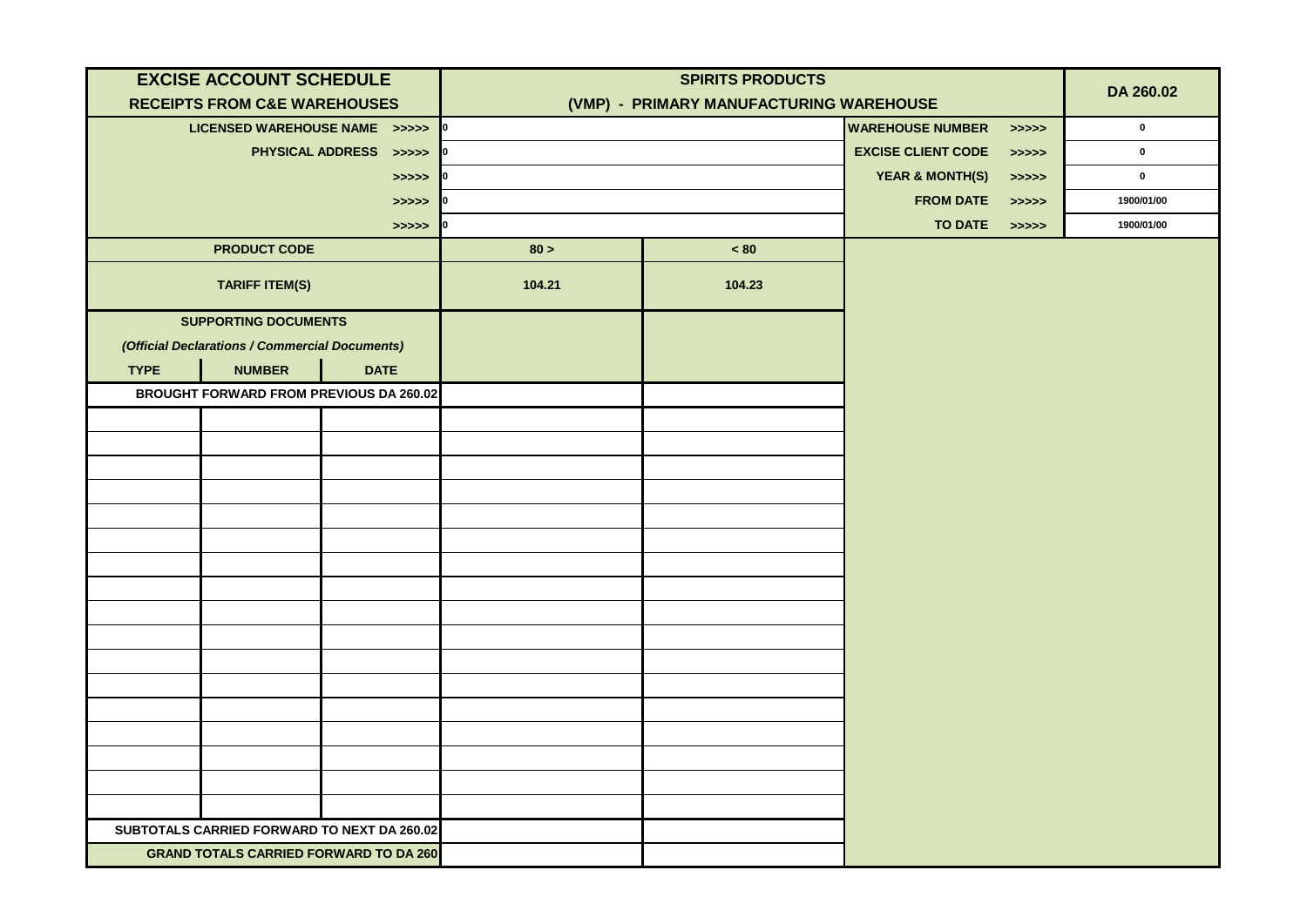| <b>EXCISE ACCOUNT SCHEDULE</b>                 |                                                   | <b>SPIRITS PRODUCTS</b>                 |                         |                            |             |            |
|------------------------------------------------|---------------------------------------------------|-----------------------------------------|-------------------------|----------------------------|-------------|------------|
| <b>RECEIPTS FROM C&amp;E WAREHOUSES</b>        |                                                   | (VMP) - PRIMARY MANUFACTURING WAREHOUSE |                         |                            |             | DA 260.02  |
| LICENSED WAREHOUSE NAME >>>>> 0                |                                                   |                                         | <b>WAREHOUSE NUMBER</b> | >>>>>                      | $\mathbf 0$ |            |
|                                                | PHYSICAL ADDRESS >>>>>                            |                                         |                         | <b>EXCISE CLIENT CODE</b>  | >>>>>       | $\pmb{0}$  |
|                                                | >>>>>                                             |                                         |                         | <b>YEAR &amp; MONTH(S)</b> | > >> > >    | $\pmb{0}$  |
|                                                | $\Rightarrow \Rightarrow \Rightarrow \Rightarrow$ |                                         |                         | <b>FROM DATE</b>           | > >> > >    | 1900/01/00 |
|                                                | >>>>>                                             |                                         |                         | <b>TO DATE</b>             | >>>>>>      | 1900/01/00 |
| <b>PRODUCT CODE</b>                            |                                                   | 80 >                                    | < 80                    |                            |             |            |
| <b>TARIFF ITEM(S)</b>                          |                                                   | 104.21                                  | 104.23                  |                            |             |            |
| <b>SUPPORTING DOCUMENTS</b>                    |                                                   |                                         |                         |                            |             |            |
| (Official Declarations / Commercial Documents) |                                                   |                                         |                         |                            |             |            |
| <b>NUMBER</b><br><b>TYPE</b>                   | <b>DATE</b>                                       |                                         |                         |                            |             |            |
| <b>BROUGHT FORWARD FROM PREVIOUS DA 260.02</b> |                                                   |                                         |                         |                            |             |            |
|                                                |                                                   |                                         |                         |                            |             |            |
|                                                |                                                   |                                         |                         |                            |             |            |
|                                                |                                                   |                                         |                         |                            |             |            |
|                                                |                                                   |                                         |                         |                            |             |            |
|                                                |                                                   |                                         |                         |                            |             |            |
|                                                |                                                   |                                         |                         |                            |             |            |
|                                                |                                                   |                                         |                         |                            |             |            |
|                                                |                                                   |                                         |                         |                            |             |            |
|                                                |                                                   |                                         |                         |                            |             |            |
|                                                |                                                   |                                         |                         |                            |             |            |
|                                                |                                                   |                                         |                         |                            |             |            |
|                                                |                                                   |                                         |                         |                            |             |            |
|                                                |                                                   |                                         |                         |                            |             |            |
|                                                |                                                   |                                         |                         |                            |             |            |
|                                                |                                                   |                                         |                         |                            |             |            |
|                                                |                                                   |                                         |                         |                            |             |            |
|                                                |                                                   |                                         |                         |                            |             |            |
| SUBTOTALS CARRIED FORWARD TO NEXT DA 260.02    |                                                   |                                         |                         |                            |             |            |
| <b>GRAND TOTALS CARRIED FORWARD TO DA 260</b>  |                                                   |                                         |                         |                            |             |            |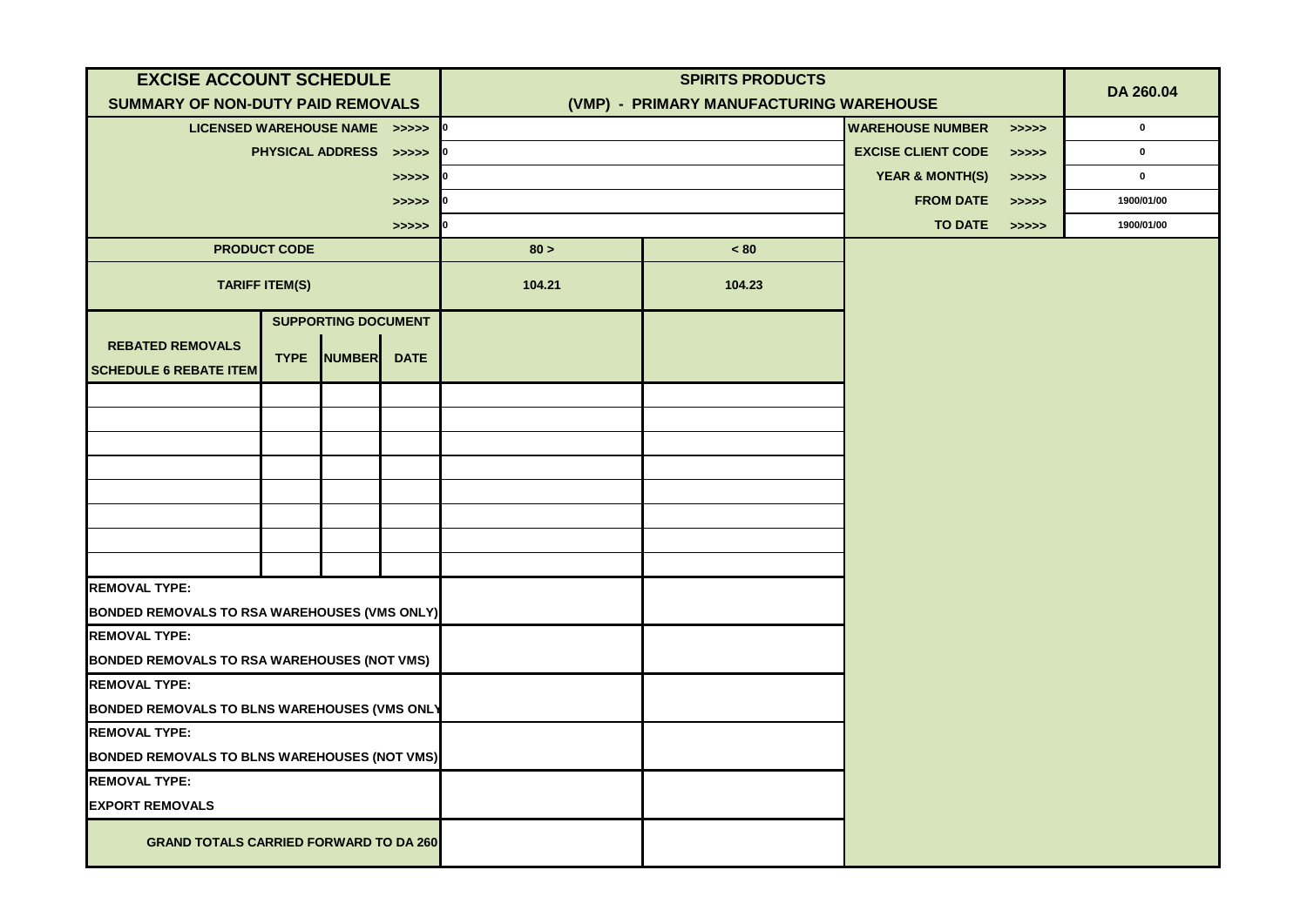| <b>EXCISE ACCOUNT SCHEDULE</b>                           |                       |                            |                                                   | <b>SPIRITS PRODUCTS</b>                 |                         |                            |           | DA 260.04   |
|----------------------------------------------------------|-----------------------|----------------------------|---------------------------------------------------|-----------------------------------------|-------------------------|----------------------------|-----------|-------------|
| <b>SUMMARY OF NON-DUTY PAID REMOVALS</b>                 |                       |                            |                                                   | (VMP) - PRIMARY MANUFACTURING WAREHOUSE |                         |                            |           |             |
| LICENSED WAREHOUSE NAME >>>>>                            |                       |                            |                                                   |                                         | <b>WAREHOUSE NUMBER</b> | >>>>>                      | $\pmb{0}$ |             |
|                                                          |                       | PHYSICAL ADDRESS >>>>>     |                                                   |                                         |                         | <b>EXCISE CLIENT CODE</b>  | >>>>>     | $\mathbf 0$ |
|                                                          |                       |                            | >>>>>                                             |                                         |                         | <b>YEAR &amp; MONTH(S)</b> | >>>>>     | $\mathbf 0$ |
|                                                          |                       |                            | >>>>>                                             |                                         |                         | <b>FROM DATE</b>           | >>>>>     | 1900/01/00  |
|                                                          |                       |                            | $\rightarrow \rightarrow \rightarrow \rightarrow$ |                                         |                         | <b>TO DATE</b>             | >>>>>     | 1900/01/00  |
|                                                          | <b>PRODUCT CODE</b>   |                            |                                                   | 80 >                                    | ~< 80                   |                            |           |             |
|                                                          | <b>TARIFF ITEM(S)</b> |                            |                                                   | 104.21                                  | 104.23                  |                            |           |             |
|                                                          |                       | <b>SUPPORTING DOCUMENT</b> |                                                   |                                         |                         |                            |           |             |
| <b>REBATED REMOVALS</b><br><b>SCHEDULE 6 REBATE ITEM</b> | <b>TYPE</b>           | <b>NUMBER</b>              | <b>DATE</b>                                       |                                         |                         |                            |           |             |
|                                                          |                       |                            |                                                   |                                         |                         |                            |           |             |
|                                                          |                       |                            |                                                   |                                         |                         |                            |           |             |
|                                                          |                       |                            |                                                   |                                         |                         |                            |           |             |
|                                                          |                       |                            |                                                   |                                         |                         |                            |           |             |
|                                                          |                       |                            |                                                   |                                         |                         |                            |           |             |
|                                                          |                       |                            |                                                   |                                         |                         |                            |           |             |
|                                                          |                       |                            |                                                   |                                         |                         |                            |           |             |
|                                                          |                       |                            |                                                   |                                         |                         |                            |           |             |
| <b>REMOVAL TYPE:</b>                                     |                       |                            |                                                   |                                         |                         |                            |           |             |
| <b>BONDED REMOVALS TO RSA WAREHOUSES (VMS ONLY)</b>      |                       |                            |                                                   |                                         |                         |                            |           |             |
| <b>REMOVAL TYPE:</b>                                     |                       |                            |                                                   |                                         |                         |                            |           |             |
| <b>BONDED REMOVALS TO RSA WAREHOUSES (NOT VMS)</b>       |                       |                            |                                                   |                                         |                         |                            |           |             |
| <b>REMOVAL TYPE:</b>                                     |                       |                            |                                                   |                                         |                         |                            |           |             |
| <b>BONDED REMOVALS TO BLNS WAREHOUSES (VMS ONL)</b>      |                       |                            |                                                   |                                         |                         |                            |           |             |
| <b>REMOVAL TYPE:</b>                                     |                       |                            |                                                   |                                         |                         |                            |           |             |
| <b>BONDED REMOVALS TO BLNS WAREHOUSES (NOT VMS)</b>      |                       |                            |                                                   |                                         |                         |                            |           |             |
| <b>REMOVAL TYPE:</b>                                     |                       |                            |                                                   |                                         |                         |                            |           |             |
| <b>EXPORT REMOVALS</b>                                   |                       |                            |                                                   |                                         |                         |                            |           |             |
| <b>GRAND TOTALS CARRIED FORWARD TO DA 260</b>            |                       |                            |                                                   |                                         |                         |                            |           |             |